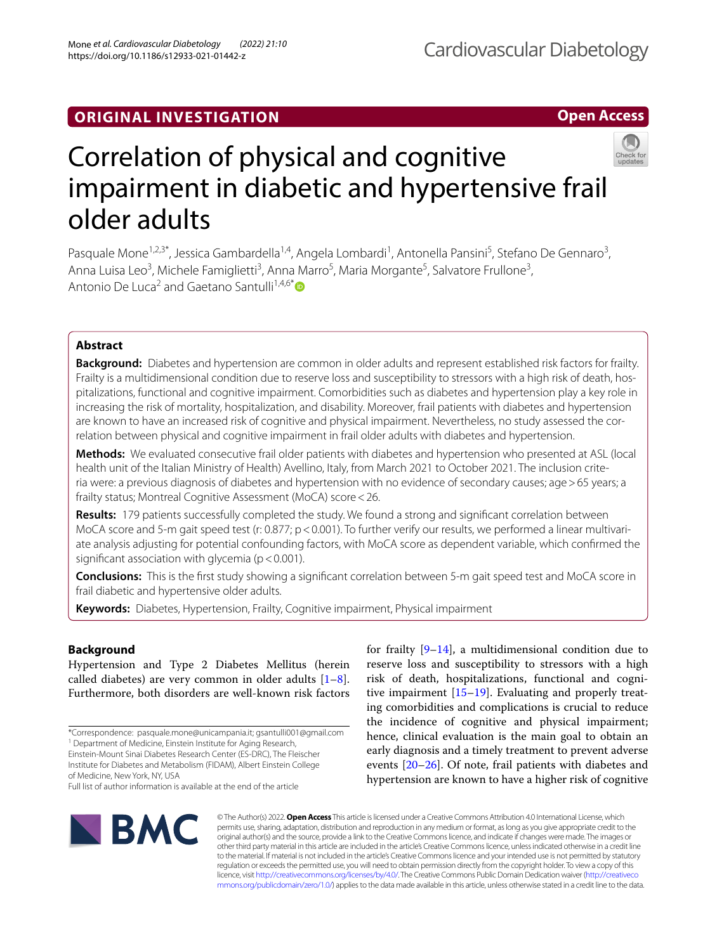# **ORIGINAL INVESTIGATION**

# **Open Access**



# Correlation of physical and cognitive impairment in diabetic and hypertensive frail older adults

Pasquale Mone<sup>1,2,3\*</sup>, Jessica Gambardella<sup>1,4</sup>, Angela Lombardi<sup>1</sup>, Antonella Pansini<sup>5</sup>, Stefano De Gennaro<sup>3</sup>, Anna Luisa Leo<sup>3</sup>, Michele Famiglietti<sup>3</sup>, Anna Marro<sup>5</sup>, Maria Morgante<sup>5</sup>, Salvatore Frullone<sup>3</sup>, Antonio De Luca<sup>2</sup> and Gaetano Santulli<sup>1,4,6[\\*](http://orcid.org/0000-0001-7231-375X)</sup>

# **Abstract**

**Background:** Diabetes and hypertension are common in older adults and represent established risk factors for frailty. Frailty is a multidimensional condition due to reserve loss and susceptibility to stressors with a high risk of death, hospitalizations, functional and cognitive impairment. Comorbidities such as diabetes and hypertension play a key role in increasing the risk of mortality, hospitalization, and disability. Moreover, frail patients with diabetes and hypertension are known to have an increased risk of cognitive and physical impairment. Nevertheless, no study assessed the correlation between physical and cognitive impairment in frail older adults with diabetes and hypertension.

**Methods:** We evaluated consecutive frail older patients with diabetes and hypertension who presented at ASL (local health unit of the Italian Ministry of Health) Avellino, Italy, from March 2021 to October 2021. The inclusion criteria were: a previous diagnosis of diabetes and hypertension with no evidence of secondary causes; age>65 years; a frailty status; Montreal Cognitive Assessment (MoCA) score<26.

**Results:** 179 patients successfully completed the study. We found a strong and signifcant correlation between MoCA score and 5-m gait speed test (r: 0.877;  $p < 0.001$ ). To further verify our results, we performed a linear multivariate analysis adjusting for potential confounding factors, with MoCA score as dependent variable, which confrmed the significant association with glycemia ( $p < 0.001$ ).

**Conclusions:** This is the frst study showing a signifcant correlation between 5-m gait speed test and MoCA score in frail diabetic and hypertensive older adults.

**Keywords:** Diabetes, Hypertension, Frailty, Cognitive impairment, Physical impairment

# **Background**

Hypertension and Type 2 Diabetes Mellitus (herein called diabetes) are very common in older adults  $[1-8]$  $[1-8]$ . Furthermore, both disorders are well-known risk factors

Institute for Diabetes and Metabolism (FIDAM), Albert Einstein College of Medicine, New York, NY, USA





© The Author(s) 2022. **Open Access** This article is licensed under a Creative Commons Attribution 4.0 International License, which permits use, sharing, adaptation, distribution and reproduction in any medium or format, as long as you give appropriate credit to the original author(s) and the source, provide a link to the Creative Commons licence, and indicate if changes were made. The images or other third party material in this article are included in the article's Creative Commons licence, unless indicated otherwise in a credit line to the material. If material is not included in the article's Creative Commons licence and your intended use is not permitted by statutory regulation or exceeds the permitted use, you will need to obtain permission directly from the copyright holder. To view a copy of this licence, visit [http://creativecommons.org/licenses/by/4.0/.](http://creativecommons.org/licenses/by/4.0/) The Creative Commons Public Domain Dedication waiver ([http://creativeco](http://creativecommons.org/publicdomain/zero/1.0/) [mmons.org/publicdomain/zero/1.0/](http://creativecommons.org/publicdomain/zero/1.0/)) applies to the data made available in this article, unless otherwise stated in a credit line to the data.

<sup>\*</sup>Correspondence: pasquale.mone@unicampania.it; gsantulli001@gmail.com <sup>1</sup> Department of Medicine, Einstein Institute for Aging Research,

Einstein-Mount Sinai Diabetes Research Center (ES-DRC), The Fleischer

Full list of author information is available at the end of the article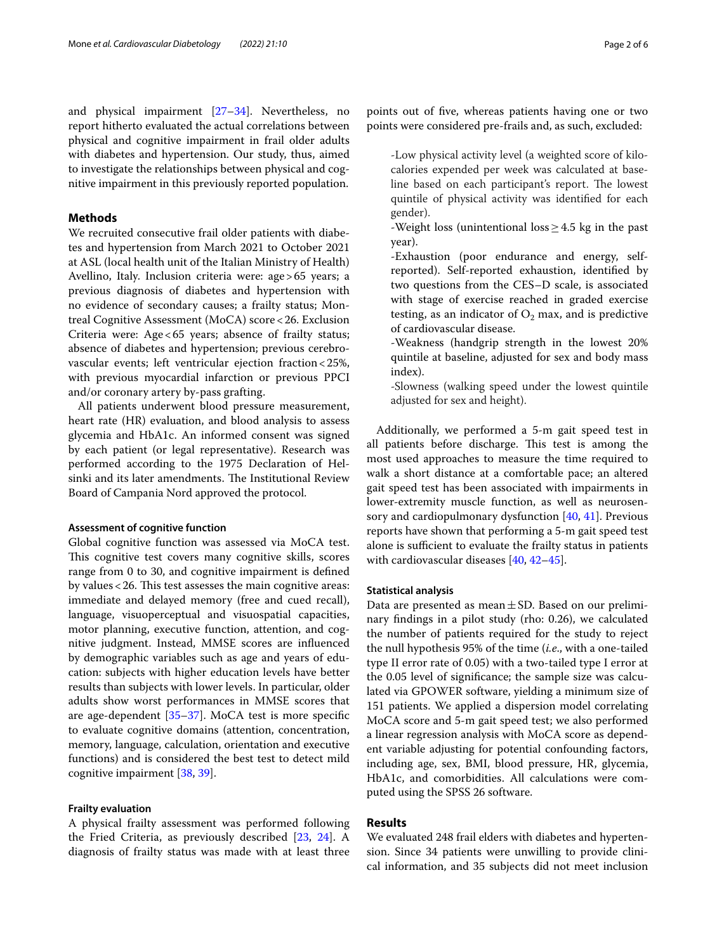and physical impairment [[27–](#page-4-8)[34](#page-4-9)]. Nevertheless, no report hitherto evaluated the actual correlations between physical and cognitive impairment in frail older adults with diabetes and hypertension. Our study, thus, aimed to investigate the relationships between physical and cognitive impairment in this previously reported population.

# **Methods**

We recruited consecutive frail older patients with diabetes and hypertension from March 2021 to October 2021 at ASL (local health unit of the Italian Ministry of Health) Avellino, Italy. Inclusion criteria were: age>65 years; a previous diagnosis of diabetes and hypertension with no evidence of secondary causes; a frailty status; Montreal Cognitive Assessment (MoCA) score<26. Exclusion Criteria were: Age<65 years; absence of frailty status; absence of diabetes and hypertension; previous cerebrovascular events; left ventricular ejection fraction<25%, with previous myocardial infarction or previous PPCI and/or coronary artery by-pass grafting.

All patients underwent blood pressure measurement, heart rate (HR) evaluation, and blood analysis to assess glycemia and HbA1c. An informed consent was signed by each patient (or legal representative). Research was performed according to the 1975 Declaration of Helsinki and its later amendments. The Institutional Review Board of Campania Nord approved the protocol.

## **Assessment of cognitive function**

Global cognitive function was assessed via MoCA test. This cognitive test covers many cognitive skills, scores range from 0 to 30, and cognitive impairment is defned by values  $<$  26. This test assesses the main cognitive areas: immediate and delayed memory (free and cued recall), language, visuoperceptual and visuospatial capacities, motor planning, executive function, attention, and cognitive judgment. Instead, MMSE scores are infuenced by demographic variables such as age and years of education: subjects with higher education levels have better results than subjects with lower levels. In particular, older adults show worst performances in MMSE scores that are age-dependent [\[35](#page-4-10)–[37\]](#page-5-0). MoCA test is more specifc to evaluate cognitive domains (attention, concentration, memory, language, calculation, orientation and executive functions) and is considered the best test to detect mild cognitive impairment [\[38,](#page-5-1) [39](#page-5-2)].

## **Frailty evaluation**

A physical frailty assessment was performed following the Fried Criteria, as previously described [[23,](#page-4-11) [24](#page-4-12)]. A diagnosis of frailty status was made with at least three

points out of fve, whereas patients having one or two points were considered pre-frails and, as such, excluded:

-Low physical activity level (a weighted score of kilocalories expended per week was calculated at baseline based on each participant's report. The lowest quintile of physical activity was identifed for each gender).

- -Weight loss (unintentional loss≥4.5 kg in the past year).
- -Exhaustion (poor endurance and energy, selfreported). Self-reported exhaustion, identifed by two questions from the CES–D scale, is associated with stage of exercise reached in graded exercise testing, as an indicator of  $O_2$  max, and is predictive of cardiovascular disease.
- -Weakness (handgrip strength in the lowest 20% quintile at baseline, adjusted for sex and body mass index).
- -Slowness (walking speed under the lowest quintile adjusted for sex and height).

Additionally, we performed a 5-m gait speed test in all patients before discharge. This test is among the most used approaches to measure the time required to walk a short distance at a comfortable pace; an altered gait speed test has been associated with impairments in lower-extremity muscle function, as well as neurosensory and cardiopulmonary dysfunction [\[40](#page-5-3), [41](#page-5-4)]. Previous reports have shown that performing a 5-m gait speed test alone is sufficient to evaluate the frailty status in patients with cardiovascular diseases [[40](#page-5-3), [42–](#page-5-5)[45\]](#page-5-6).

#### **Statistical analysis**

Data are presented as mean $\pm$ SD. Based on our preliminary fndings in a pilot study (rho: 0.26), we calculated the number of patients required for the study to reject the null hypothesis 95% of the time (*i.e*., with a one-tailed type II error rate of 0.05) with a two-tailed type I error at the 0.05 level of signifcance; the sample size was calculated via GPOWER software, yielding a minimum size of 151 patients. We applied a dispersion model correlating MoCA score and 5-m gait speed test; we also performed a linear regression analysis with MoCA score as dependent variable adjusting for potential confounding factors, including age, sex, BMI, blood pressure, HR, glycemia, HbA1c, and comorbidities. All calculations were computed using the SPSS 26 software.

## **Results**

We evaluated 248 frail elders with diabetes and hypertension. Since 34 patients were unwilling to provide clinical information, and 35 subjects did not meet inclusion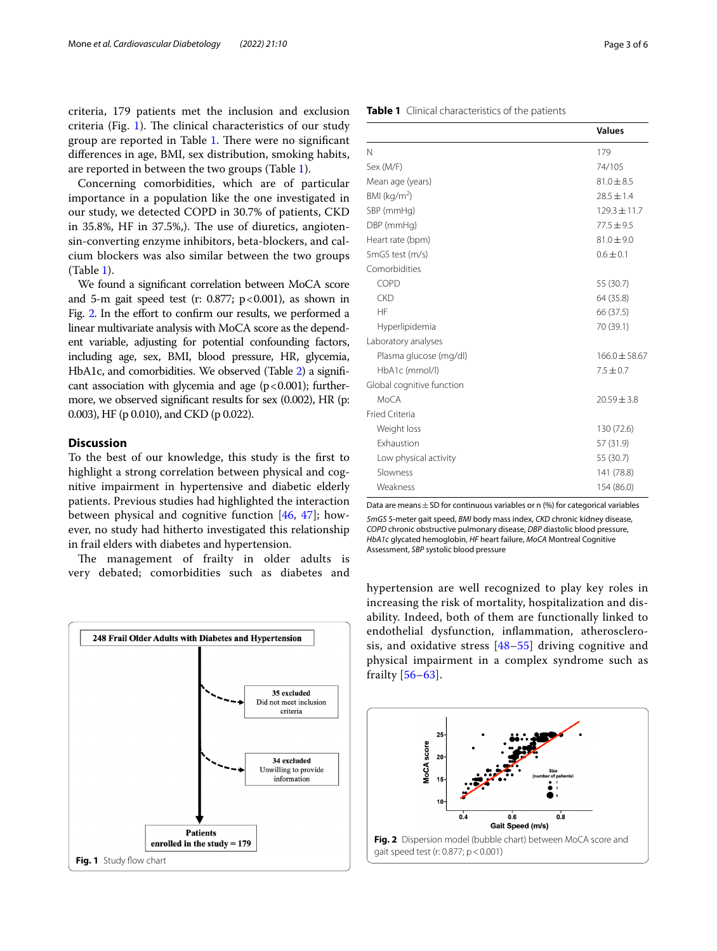criteria, 179 patients met the inclusion and exclusion criteria (Fig. [1](#page-2-0)). The clinical characteristics of our study group are reported in Table [1.](#page-2-1) There were no significant diferences in age, BMI, sex distribution, smoking habits, are reported in between the two groups (Table [1\)](#page-2-1).

Concerning comorbidities, which are of particular importance in a population like the one investigated in our study, we detected COPD in 30.7% of patients, CKD in  $35.8\%$ , HF in  $37.5\%$ ). The use of diuretics, angiotensin-converting enzyme inhibitors, beta-blockers, and calcium blockers was also similar between the two groups (Table [1](#page-2-1)).

We found a signifcant correlation between MoCA score and 5-m gait speed test (r: 0.877;  $p < 0.001$ ), as shown in Fig. [2](#page-2-2). In the effort to confirm our results, we performed a linear multivariate analysis with MoCA score as the dependent variable, adjusting for potential confounding factors, including age, sex, BMI, blood pressure, HR, glycemia, HbA1c, and comorbidities. We observed (Table [2\)](#page-3-0) a significant association with glycemia and age  $(p<0.001)$ ; furthermore, we observed signifcant results for sex (0.002), HR (p: 0.003), HF (p 0.010), and CKD (p 0.022).

## **Discussion**

To the best of our knowledge, this study is the frst to highlight a strong correlation between physical and cognitive impairment in hypertensive and diabetic elderly patients. Previous studies had highlighted the interaction between physical and cognitive function [\[46](#page-5-7), [47](#page-5-8)]; however, no study had hitherto investigated this relationship in frail elders with diabetes and hypertension.

The management of frailty in older adults is very debated; comorbidities such as diabetes and

<span id="page-2-0"></span>

<span id="page-2-1"></span>

|  |  | Table 1 Clinical characteristics of the patients |  |  |
|--|--|--------------------------------------------------|--|--|
|--|--|--------------------------------------------------|--|--|

|                           | <b>Values</b>     |
|---------------------------|-------------------|
| N                         | 179               |
| Sex (M/F)                 | 74/105            |
| Mean age (years)          | $81.0 \pm 8.5$    |
| BMI ( $kg/m2$ )           | $28.5 \pm 1.4$    |
| SBP (mmHg)                | $129.3 \pm 11.7$  |
| DBP (mmHg)                | $77.5 + 9.5$      |
| Heart rate (bpm)          | $81.0 \pm 9.0$    |
| 5mGS test (m/s)           | $0.6 \pm 0.1$     |
| Comorbidities             |                   |
| COPD                      | 55 (30.7)         |
| <b>CKD</b>                | 64 (35.8)         |
| HF                        | 66 (37.5)         |
| Hyperlipidemia            | 70 (39.1)         |
| Laboratory analyses       |                   |
| Plasma glucose (mg/dl)    | $166.0 \pm 58.67$ |
| HbA1c (mmol/l)            | $7.5 \pm 0.7$     |
| Global cognitive function |                   |
| MoCA                      | $20.59 \pm 3.8$   |
| Fried Criteria            |                   |
| Weight loss               | 130 (72.6)        |
| <b>Exhaustion</b>         | 57 (31.9)         |
| Low physical activity     | 55 (30.7)         |
| Slowness                  | 141 (78.8)        |
| Weakness                  | 154 (86.0)        |
|                           |                   |

Data are means  $\pm$  SD for continuous variables or n (%) for categorical variables *5mGS* 5-meter gait speed, *BMI* body mass index, *CKD* chronic kidney disease, *COPD* chronic obstructive pulmonary disease, *DBP* diastolic blood pressure, *HbA1c* glycated hemoglobin, *HF* heart failure, *MoCA* Montreal Cognitive Assessment, *SBP* systolic blood pressure

hypertension are well recognized to play key roles in increasing the risk of mortality, hospitalization and disability. Indeed, both of them are functionally linked to endothelial dysfunction, infammation, atherosclerosis, and oxidative stress [[48–](#page-5-9)[55\]](#page-5-10) driving cognitive and physical impairment in a complex syndrome such as frailty [[56–](#page-5-11)[63\]](#page-5-12).

<span id="page-2-2"></span>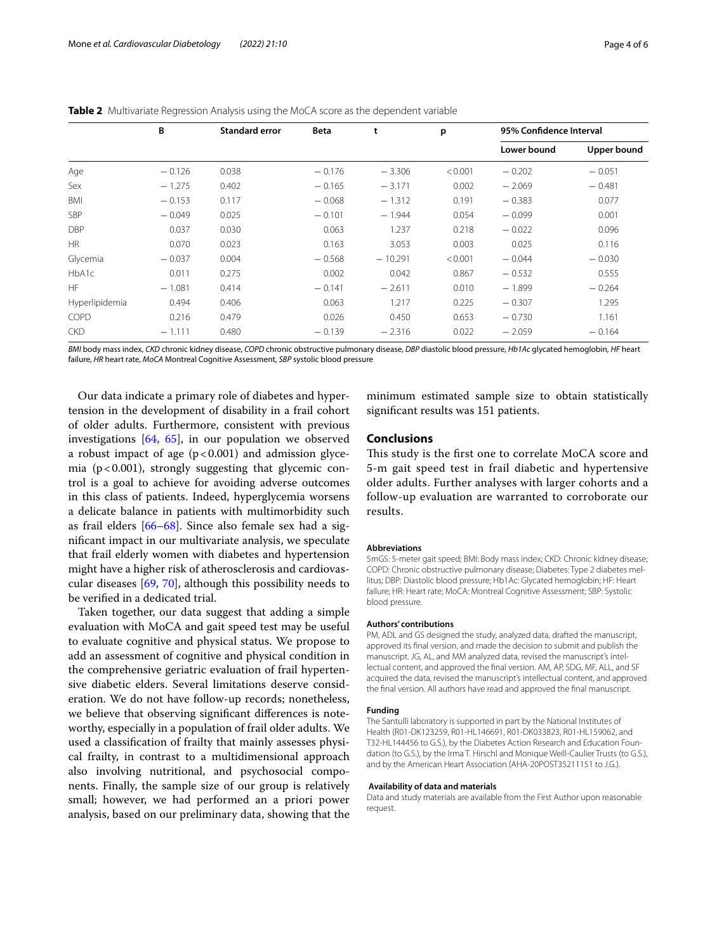|                | B        | <b>Standard error</b> | Beta     | t         | p       | 95% Confidence Interval |             |
|----------------|----------|-----------------------|----------|-----------|---------|-------------------------|-------------|
|                |          |                       |          |           |         | Lower bound             | Upper bound |
| Age            | $-0.126$ | 0.038                 | $-0.176$ | $-3.306$  | < 0.001 | $-0.202$                | $-0.051$    |
| Sex            | $-1.275$ | 0.402                 | $-0.165$ | $-3.171$  | 0.002   | $-2.069$                | $-0.481$    |
| <b>BMI</b>     | $-0.153$ | 0.117                 | $-0.068$ | $-1.312$  | 0.191   | $-0.383$                | 0.077       |
| <b>SBP</b>     | $-0.049$ | 0.025                 | $-0.101$ | $-1.944$  | 0.054   | $-0.099$                | 0.001       |
| <b>DBP</b>     | 0.037    | 0.030                 | 0.063    | 1.237     | 0.218   | $-0.022$                | 0.096       |
| HR             | 0.070    | 0.023                 | 0.163    | 3.053     | 0.003   | 0.025                   | 0.116       |
| Glycemia       | $-0.037$ | 0.004                 | $-0.568$ | $-10.291$ | < 0.001 | $-0.044$                | $-0.030$    |
| HbA1c          | 0.011    | 0.275                 | 0.002    | 0.042     | 0.867   | $-0.532$                | 0.555       |
| <b>HF</b>      | $-1.081$ | 0.414                 | $-0.141$ | $-2.611$  | 0.010   | $-1.899$                | $-0.264$    |
| Hyperlipidemia | 0.494    | 0.406                 | 0.063    | 1.217     | 0.225   | $-0.307$                | 1.295       |
| COPD           | 0.216    | 0.479                 | 0.026    | 0.450     | 0.653   | $-0.730$                | 1.161       |
| <b>CKD</b>     | $-1.111$ | 0.480                 | $-0.139$ | $-2.316$  | 0.022   | $-2.059$                | $-0.164$    |

<span id="page-3-0"></span>

|  |  | <b>Table 2</b> Multivariate Regression Analysis using the MoCA score as the dependent variable |
|--|--|------------------------------------------------------------------------------------------------|
|--|--|------------------------------------------------------------------------------------------------|

*BMI* body mass index, *CKD* chronic kidney disease, *COPD* chronic obstructive pulmonary disease, *DBP* diastolic blood pressure, *Hb1Ac* glycated hemoglobin, *HF* heart failure, *HR* heart rate, *MoCA* Montreal Cognitive Assessment, *SBP* systolic blood pressure

Our data indicate a primary role of diabetes and hypertension in the development of disability in a frail cohort of older adults. Furthermore, consistent with previous investigations [[64](#page-5-13), [65\]](#page-5-14), in our population we observed a robust impact of age  $(p < 0.001)$  and admission glycemia ( $p < 0.001$ ), strongly suggesting that glycemic control is a goal to achieve for avoiding adverse outcomes in this class of patients. Indeed, hyperglycemia worsens a delicate balance in patients with multimorbidity such as frail elders [\[66](#page-5-15)[–68\]](#page-5-16). Since also female sex had a signifcant impact in our multivariate analysis, we speculate that frail elderly women with diabetes and hypertension might have a higher risk of atherosclerosis and cardiovascular diseases [[69,](#page-5-17) [70\]](#page-5-18), although this possibility needs to be verifed in a dedicated trial.

Taken together, our data suggest that adding a simple evaluation with MoCA and gait speed test may be useful to evaluate cognitive and physical status. We propose to add an assessment of cognitive and physical condition in the comprehensive geriatric evaluation of frail hypertensive diabetic elders. Several limitations deserve consideration. We do not have follow-up records; nonetheless, we believe that observing signifcant diferences is noteworthy, especially in a population of frail older adults. We used a classifcation of frailty that mainly assesses physical frailty, in contrast to a multidimensional approach also involving nutritional, and psychosocial components. Finally, the sample size of our group is relatively small; however, we had performed an a priori power analysis, based on our preliminary data, showing that the

minimum estimated sample size to obtain statistically signifcant results was 151 patients.

# **Conclusions**

This study is the first one to correlate MoCA score and 5-m gait speed test in frail diabetic and hypertensive older adults. Further analyses with larger cohorts and a follow-up evaluation are warranted to corroborate our results.

#### **Abbreviations**

5mGS: 5-meter gait speed; BMI: Body mass index; CKD: Chronic kidney disease; COPD: Chronic obstructive pulmonary disease; Diabetes: Type 2 diabetes mellitus; DBP: Diastolic blood pressure; Hb1Ac: Glycated hemoglobin; HF: Heart failure; HR: Heart rate; MoCA: Montreal Cognitive Assessment; SBP: Systolic blood pressure.

#### **Authors' contributions**

PM, ADL and GS designed the study, analyzed data, drafted the manuscript, approved its fnal version, and made the decision to submit and publish the manuscript. JG, AL, and MM analyzed data, revised the manuscript's intellectual content, and approved the fnal version. AM, AP, SDG, MF, ALL, and SF acquired the data, revised the manuscript's intellectual content, and approved the fnal version. All authors have read and approved the fnal manuscript.

#### **Funding**

The Santulli laboratory is supported in part by the National Institutes of Health (R01-DK123259, R01-HL146691, R01-DK033823, R01-HL159062, and T32-HL144456 to G.S.), by the Diabetes Action Research and Education Foundation (to G.S.), by the Irma T. Hirschl and Monique Weill-Caulier Trusts (to G.S.), and by the American Heart Association (AHA-20POST35211151 to J.G.).

#### **Availability of data and materials**

Data and study materials are available from the First Author upon reasonable request.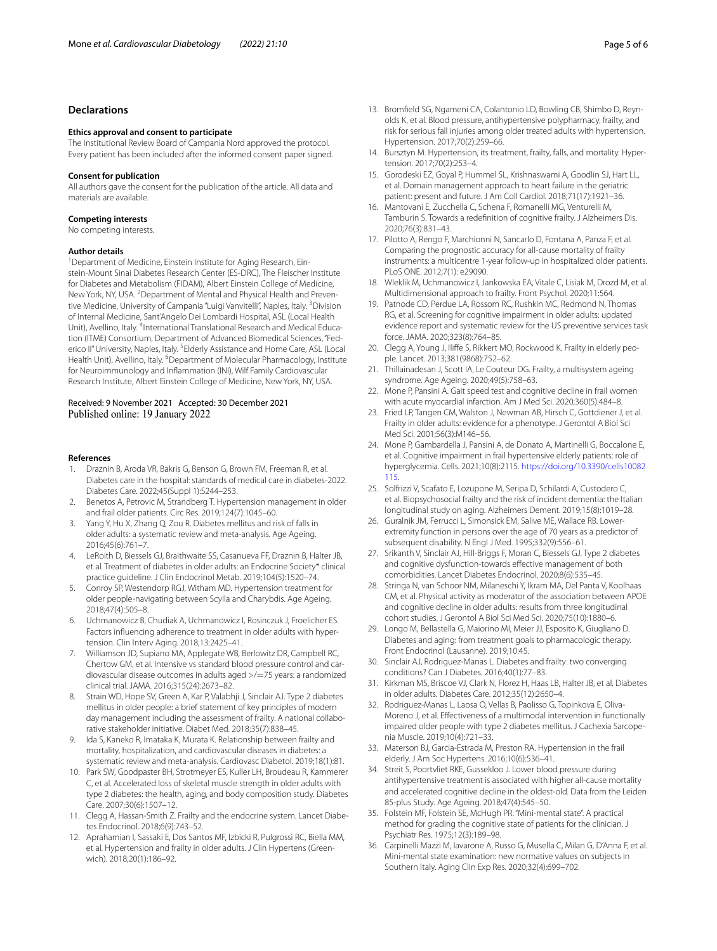# **Declarations**

#### **Ethics approval and consent to participate**

The Institutional Review Board of Campania Nord approved the protocol. Every patient has been included after the informed consent paper signed.

#### **Consent for publication**

All authors gave the consent for the publication of the article. All data and materials are available.

#### **Competing interests**

No competing interests.

#### **Author details**

<sup>1</sup> Department of Medicine, Einstein Institute for Aging Research, Einstein-Mount Sinai Diabetes Research Center (ES-DRC), The Fleischer Institute for Diabetes and Metabolism (FIDAM), Albert Einstein College of Medicine, New York, NY, USA. <sup>2</sup> Department of Mental and Physical Health and Preventive Medicine, University of Campania "Luigi Vanvitelli", Naples, Italy. <sup>3</sup>Division of Internal Medicine, Sant'Angelo Dei Lombardi Hospital, ASL (Local Health Unit), Avellino, Italy. <sup>4</sup>International Translational Research and Medical Education (ITME) Consortium, Department of Advanced Biomedical Sciences, "Federico II" University, Naples, Italy. <sup>5</sup> Elderly Assistance and Home Care, ASL (Local Health Unit), Avellino, Italy. <sup>6</sup>Department of Molecular Pharmacology, Institute for Neuroimmunology and Infammation (INI), Wilf Family Cardiovascular Research Institute, Albert Einstein College of Medicine, New York, NY, USA.

#### Received: 9 November 2021 Accepted: 30 December 2021 Published online: 19 January 2022

#### **References**

- <span id="page-4-0"></span>1. Draznin B, Aroda VR, Bakris G, Benson G, Brown FM, Freeman R, et al. Diabetes care in the hospital: standards of medical care in diabetes-2022. Diabetes Care. 2022;45(Suppl 1):S244–253.
- 2. Benetos A, Petrovic M, Strandberg T. Hypertension management in older and frail older patients. Circ Res. 2019;124(7):1045–60.
- 3. Yang Y, Hu X, Zhang Q, Zou R. Diabetes mellitus and risk of falls in older adults: a systematic review and meta-analysis. Age Ageing. 2016;45(6):761–7.
- 4. LeRoith D, Biessels GJ, Braithwaite SS, Casanueva FF, Draznin B, Halter JB, et al. Treatment of diabetes in older adults: an Endocrine Society\* clinical practice guideline. J Clin Endocrinol Metab. 2019;104(5):1520–74.
- 5. Conroy SP, Westendorp RGJ, Witham MD. Hypertension treatment for older people-navigating between Scylla and Charybdis. Age Ageing. 2018;47(4):505–8.
- 6. Uchmanowicz B, Chudiak A, Uchmanowicz I, Rosinczuk J, Froelicher ES. Factors infuencing adherence to treatment in older adults with hypertension. Clin Interv Aging. 2018;13:2425–41.
- 7. Williamson JD, Supiano MA, Applegate WB, Berlowitz DR, Campbell RC, Chertow GM, et al. Intensive vs standard blood pressure control and cardiovascular disease outcomes in adults aged >/=75 years: a randomized clinical trial. JAMA. 2016;315(24):2673–82.
- <span id="page-4-1"></span>8. Strain WD, Hope SV, Green A, Kar P, Valabhji J, Sinclair AJ. Type 2 diabetes mellitus in older people: a brief statement of key principles of modern day management including the assessment of frailty. A national collaborative stakeholder initiative. Diabet Med. 2018;35(7):838–45.
- <span id="page-4-2"></span>9. Ida S, Kaneko R, Imataka K, Murata K. Relationship between frailty and mortality, hospitalization, and cardiovascular diseases in diabetes: a systematic review and meta-analysis. Cardiovasc Diabetol. 2019;18(1):81.
- 10. Park SW, Goodpaster BH, Strotmeyer ES, Kuller LH, Broudeau R, Kammerer C, et al. Accelerated loss of skeletal muscle strength in older adults with type 2 diabetes: the health, aging, and body composition study. Diabetes Care. 2007;30(6):1507–12.
- 11. Clegg A, Hassan-Smith Z. Frailty and the endocrine system. Lancet Diabetes Endocrinol. 2018;6(9):743–52.
- 12. Aprahamian I, Sassaki E, Dos Santos MF, Izbicki R, Pulgrossi RC, Biella MM, et al. Hypertension and frailty in older adults. J Clin Hypertens (Greenwich). 2018;20(1):186–92.
- 13. Bromfeld SG, Ngameni CA, Colantonio LD, Bowling CB, Shimbo D, Reynolds K, et al. Blood pressure, antihypertensive polypharmacy, frailty, and risk for serious fall injuries among older treated adults with hypertension. Hypertension. 2017;70(2):259–66.
- <span id="page-4-3"></span>14. Bursztyn M. Hypertension, its treatment, frailty, falls, and mortality. Hypertension. 2017;70(2):253–4.
- <span id="page-4-4"></span>15. Gorodeski EZ, Goyal P, Hummel SL, Krishnaswami A, Goodlin SJ, Hart LL, et al. Domain management approach to heart failure in the geriatric patient: present and future. J Am Coll Cardiol. 2018;71(17):1921–36.
- 16. Mantovani E, Zucchella C, Schena F, Romanelli MG, Venturelli M, Tamburin S. Towards a redefnition of cognitive frailty. J Alzheimers Dis. 2020;76(3):831–43.
- 17. Pilotto A, Rengo F, Marchionni N, Sancarlo D, Fontana A, Panza F, et al. Comparing the prognostic accuracy for all-cause mortality of frailty instruments: a multicentre 1-year follow-up in hospitalized older patients. PLoS ONE. 2012;7(1): e29090.
- 18. Wleklik M, Uchmanowicz I, Jankowska EA, Vitale C, Lisiak M, Drozd M, et al. Multidimensional approach to frailty. Front Psychol. 2020;11:564.
- <span id="page-4-5"></span>19. Patnode CD, Perdue LA, Rossom RC, Rushkin MC, Redmond N, Thomas RG, et al. Screening for cognitive impairment in older adults: updated evidence report and systematic review for the US preventive services task force. JAMA. 2020;323(8):764–85.
- <span id="page-4-6"></span>20. Clegg A, Young J, Iliffe S, Rikkert MO, Rockwood K. Frailty in elderly people. Lancet. 2013;381(9868):752–62.
- 21. Thillainadesan J, Scott IA, Le Couteur DG. Frailty, a multisystem ageing syndrome. Age Ageing. 2020;49(5):758–63.
- 22. Mone P, Pansini A. Gait speed test and cognitive decline in frail women with acute myocardial infarction. Am J Med Sci. 2020;360(5):484–8.
- <span id="page-4-11"></span>23. Fried LP, Tangen CM, Walston J, Newman AB, Hirsch C, Gottdiener J, et al. Frailty in older adults: evidence for a phenotype. J Gerontol A Biol Sci Med Sci. 2001;56(3):M146–56.
- <span id="page-4-12"></span>24. Mone P, Gambardella J, Pansini A, de Donato A, Martinelli G, Boccalone E, et al. Cognitive impairment in frail hypertensive elderly patients: role of hyperglycemia. Cells. 2021;10(8):2115. [https://doi.org/10.3390/cells10082](https://doi.org/10.3390/cells10082115) [115.](https://doi.org/10.3390/cells10082115)
- 25. Solfrizzi V, Scafato E, Lozupone M, Seripa D, Schilardi A, Custodero C, et al. Biopsychosocial frailty and the risk of incident dementia: the Italian longitudinal study on aging. Alzheimers Dement. 2019;15(8):1019–28.
- <span id="page-4-7"></span>26. Guralnik JM, Ferrucci L, Simonsick EM, Salive ME, Wallace RB. Lowerextremity function in persons over the age of 70 years as a predictor of subsequent disability. N Engl J Med. 1995;332(9):556–61.
- <span id="page-4-8"></span>27. Srikanth V, Sinclair AJ, Hill-Briggs F, Moran C, Biessels GJ. Type 2 diabetes and cognitive dysfunction-towards efective management of both comorbidities. Lancet Diabetes Endocrinol. 2020;8(6):535–45.
- 28. Stringa N, van Schoor NM, Milaneschi Y, Ikram MA, Del Panta V, Koolhaas CM, et al. Physical activity as moderator of the association between APOE and cognitive decline in older adults: results from three longitudinal cohort studies. J Gerontol A Biol Sci Med Sci. 2020;75(10):1880–6.
- 29. Longo M, Bellastella G, Maiorino MI, Meier JJ, Esposito K, Giugliano D. Diabetes and aging: from treatment goals to pharmacologic therapy. Front Endocrinol (Lausanne). 2019;10:45.
- 30. Sinclair AJ, Rodriguez-Manas L. Diabetes and frailty: two converging conditions? Can J Diabetes. 2016;40(1):77–83.
- 31. Kirkman MS, Briscoe VJ, Clark N, Florez H, Haas LB, Halter JB, et al. Diabetes in older adults. Diabetes Care. 2012;35(12):2650–4.
- 32. Rodriguez-Manas L, Laosa O, Vellas B, Paolisso G, Topinkova E, Oliva-Moreno J, et al. Efectiveness of a multimodal intervention in functionally impaired older people with type 2 diabetes mellitus. J Cachexia Sarcopenia Muscle. 2019;10(4):721–33.
- 33. Materson BJ, Garcia-Estrada M, Preston RA. Hypertension in the frail elderly. J Am Soc Hypertens. 2016;10(6):536–41.
- <span id="page-4-9"></span>34. Streit S, Poortvliet RKE, Gussekloo J. Lower blood pressure during antihypertensive treatment is associated with higher all-cause mortality and accelerated cognitive decline in the oldest-old. Data from the Leiden 85-plus Study. Age Ageing. 2018;47(4):545–50.
- <span id="page-4-10"></span>35. Folstein MF, Folstein SE, McHugh PR. "Mini-mental state". A practical method for grading the cognitive state of patients for the clinician. J Psychiatr Res. 1975;12(3):189–98.
- 36. Carpinelli Mazzi M, Iavarone A, Russo G, Musella C, Milan G, D'Anna F, et al. Mini-mental state examination: new normative values on subjects in Southern Italy. Aging Clin Exp Res. 2020;32(4):699–702.